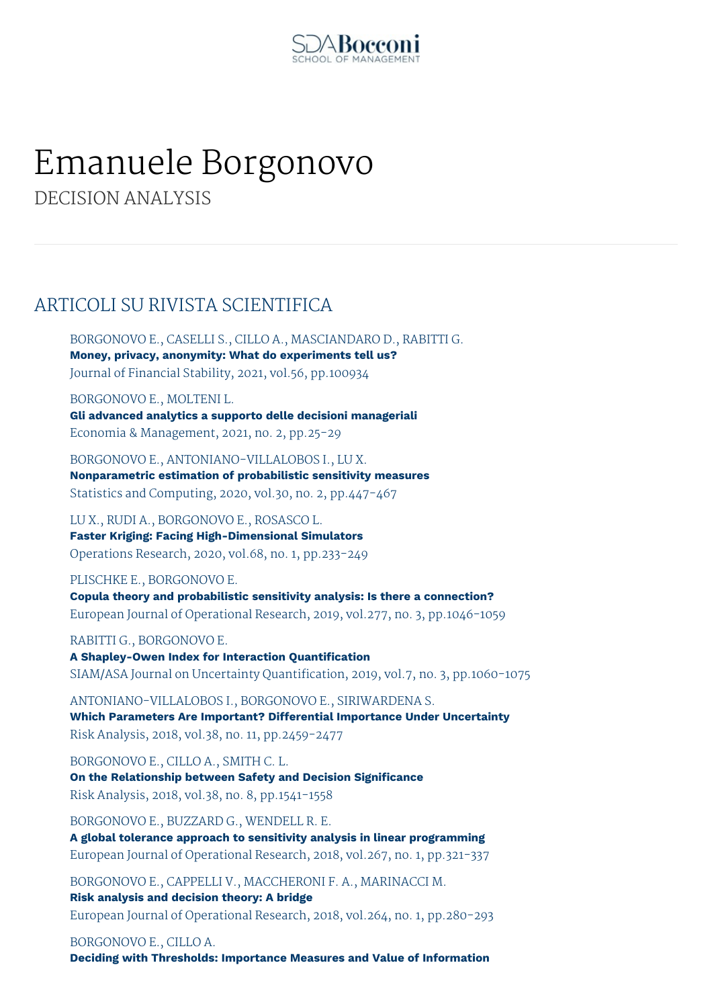

# Emanuele Borgonovo

DECISION ANALYSIS

# ARTICOLI SU RIVISTA SCIENTIFICA

BORGONOVO E., CASELLI S., CILLO A., MASCIANDARO D., RABITTI G. **Money, privacy, anonymity: What do experiments tell us?** Journal of Financial Stability, 2021, vol.56, pp.100934

BORGONOVO E., MOLTENI L. **Gli advanced analytics a supporto delle decisioni manageriali** Economia & Management, 2021, no. 2, pp.25-29

BORGONOVO E., ANTONIANO-VILLALOBOS I., LU X. **Nonparametric estimation of probabilistic sensitivity measures** Statistics and Computing, 2020, vol.30, no. 2, pp.447-467

LU X., RUDI A., BORGONOVO E., ROSASCO L. **Faster Kriging: Facing High-Dimensional Simulators** Operations Research, 2020, vol.68, no. 1, pp.233-249

PLISCHKE E., BORGONOVO E. **Copula theory and probabilistic sensitivity analysis: Is there a connection?** European Journal of Operational Research, 2019, vol.277, no. 3, pp.1046-1059

RABITTI G., BORGONOVO E.

**A Shapley-Owen Index for Interaction Quantification** SIAM/ASA Journal on Uncertainty Quantification, 2019, vol.7, no. 3, pp.1060-1075

ANTONIANO-VILLALOBOS I., BORGONOVO E., SIRIWARDENA S. **Which Parameters Are Important? Differential Importance Under Uncertainty** Risk Analysis, 2018, vol.38, no. 11, pp.2459-2477

BORGONOVO E., CILLO A., SMITH C. L. **On the Relationship between Safety and Decision Significance** Risk Analysis, 2018, vol.38, no. 8, pp.1541-1558

BORGONOVO E., BUZZARD G., WENDELL R. E. **A global tolerance approach to sensitivity analysis in linear programming** European Journal of Operational Research, 2018, vol.267, no. 1, pp.321-337

BORGONOVO E., CAPPELLI V., MACCHERONI F. A., MARINACCI M. **Risk analysis and decision theory: A bridge** European Journal of Operational Research, 2018, vol.264, no. 1, pp.280-293

BORGONOVO E., CILLO A.

**Deciding with Thresholds: Importance Measures and Value of Information**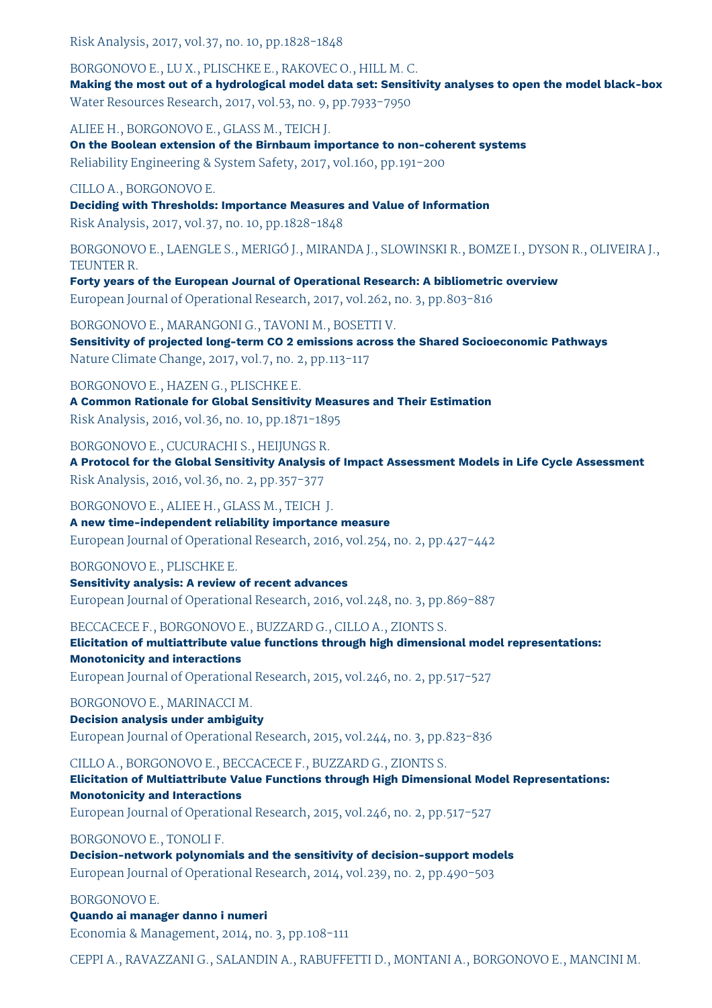Risk Analysis, 2017, vol.37, no. 10, pp.1828-1848

BORGONOVO E., LU X., PLISCHKE E., RAKOVEC O., HILL M. C.

**Making the most out of a hydrological model data set: Sensitivity analyses to open the model black-box** Water Resources Research, 2017, vol.53, no. 9, pp.7933-7950

ALIEE H., BORGONOVO E., GLASS M., TEICH J.

**On the Boolean extension of the Birnbaum importance to non-coherent systems** Reliability Engineering & System Safety, 2017, vol.160, pp.191-200

CILLO A., BORGONOVO E.

**Deciding with Thresholds: Importance Measures and Value of Information** Risk Analysis, 2017, vol.37, no. 10, pp.1828-1848

BORGONOVO E., LAENGLE S., MERIGÓ J., MIRANDA J., SLOWINSKI R., BOMZE I., DYSON R., OLIVEIRA J., TEUNTER R.

**Forty years of the European Journal of Operational Research: A bibliometric overview** European Journal of Operational Research, 2017, vol.262, no. 3, pp.803-816

BORGONOVO E., MARANGONI G., TAVONI M., BOSETTI V. **Sensitivity of projected long-term CO 2 emissions across the Shared Socioeconomic Pathways** Nature Climate Change, 2017, vol.7, no. 2, pp.113-117

BORGONOVO E., HAZEN G., PLISCHKE E.

**A Common Rationale for Global Sensitivity Measures and Their Estimation** Risk Analysis, 2016, vol.36, no. 10, pp.1871-1895

BORGONOVO E., CUCURACHI S., HEIJUNGS R.

**A Protocol for the Global Sensitivity Analysis of Impact Assessment Models in Life Cycle Assessment** Risk Analysis, 2016, vol.36, no. 2, pp.357-377

BORGONOVO E., ALIEE H., GLASS M., TEICH J. **A new time-independent reliability importance measure** European Journal of Operational Research, 2016, vol.254, no. 2, pp.427-442

BORGONOVO E., PLISCHKE E.

**Sensitivity analysis: A review of recent advances** European Journal of Operational Research, 2016, vol.248, no. 3, pp.869-887

BECCACECE F., BORGONOVO E., BUZZARD G., CILLO A., ZIONTS S.

**Elicitation of multiattribute value functions through high dimensional model representations: Monotonicity and interactions** European Journal of Operational Research, 2015, vol.246, no. 2, pp.517-527

BORGONOVO E., MARINACCI M.

### **Decision analysis under ambiguity**

European Journal of Operational Research, 2015, vol.244, no. 3, pp.823-836

CILLO A., BORGONOVO E., BECCACECE F., BUZZARD G., ZIONTS S.

**Elicitation of Multiattribute Value Functions through High Dimensional Model Representations: Monotonicity and Interactions**

European Journal of Operational Research, 2015, vol.246, no. 2, pp.517-527

BORGONOVO E., TONOLI F.

**Decision-network polynomials and the sensitivity of decision-support models** European Journal of Operational Research, 2014, vol.239, no. 2, pp.490-503

#### BORGONOVO E.

**Quando ai manager danno i numeri** Economia & Management, 2014, no. 3, pp.108-111

CEPPI A., RAVAZZANI G., SALANDIN A., RABUFFETTI D., MONTANI A., BORGONOVO E., MANCINI M.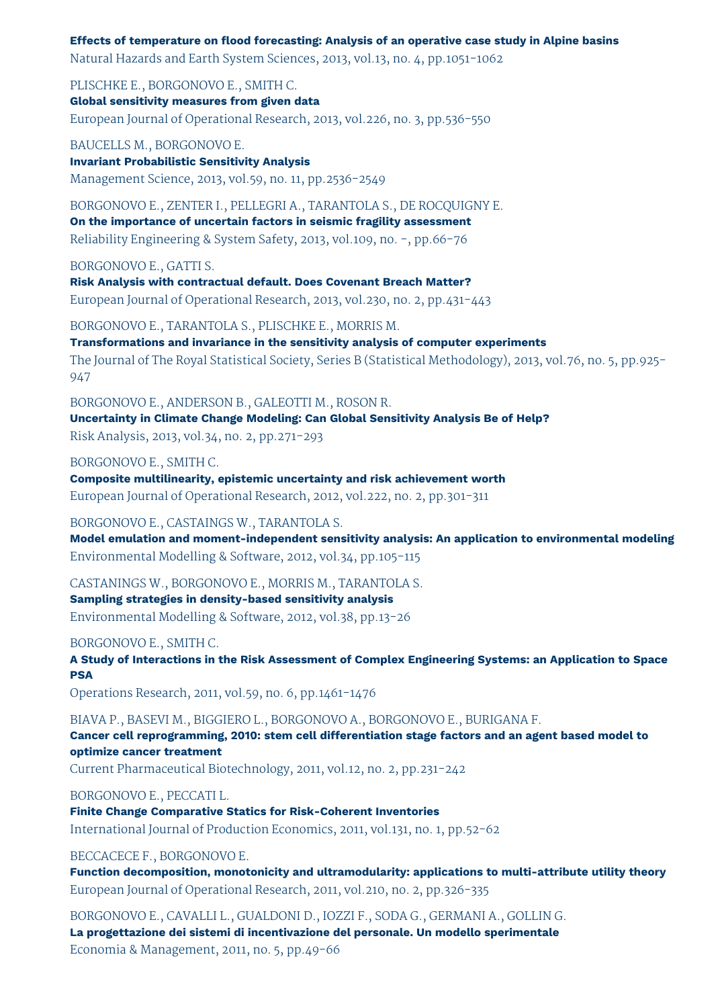**Effects of temperature on flood forecasting: Analysis of an operative case study in Alpine basins** Natural Hazards and Earth System Sciences, 2013, vol.13, no. 4, pp.1051-1062

PLISCHKE E., BORGONOVO E., SMITH C. **Global sensitivity measures from given data** European Journal of Operational Research, 2013, vol.226, no. 3, pp.536-550

BAUCELLS M., BORGONOVO E. **Invariant Probabilistic Sensitivity Analysis** Management Science, 2013, vol.59, no. 11, pp.2536-2549

BORGONOVO E., ZENTER I., PELLEGRI A., TARANTOLA S., DE ROCQUIGNY E. **On the importance of uncertain factors in seismic fragility assessment** Reliability Engineering & System Safety, 2013, vol.109, no. -, pp.66-76

BORGONOVO E., GATTI S.

**Risk Analysis with contractual default. Does Covenant Breach Matter?** European Journal of Operational Research, 2013, vol.230, no. 2, pp.431-443

BORGONOVO E., TARANTOLA S., PLISCHKE E., MORRIS M.

**Transformations and invariance in the sensitivity analysis of computer experiments** The Journal of The Royal Statistical Society, Series B (Statistical Methodology), 2013, vol.76, no. 5, pp.925- 947

BORGONOVO E., ANDERSON B., GALEOTTI M., ROSON R.

**Uncertainty in Climate Change Modeling: Can Global Sensitivity Analysis Be of Help?**

Risk Analysis, 2013, vol.34, no. 2, pp.271-293

BORGONOVO E., SMITH C.

**Composite multilinearity, epistemic uncertainty and risk achievement worth**

European Journal of Operational Research, 2012, vol.222, no. 2, pp.301-311

### BORGONOVO E., CASTAINGS W., TARANTOLA S.

**Model emulation and moment-independent sensitivity analysis: An application to environmental modeling** Environmental Modelling & Software, 2012, vol.34, pp.105-115

CASTANINGS W., BORGONOVO E., MORRIS M., TARANTOLA S.

**Sampling strategies in density-based sensitivity analysis** Environmental Modelling & Software, 2012, vol.38, pp.13-26

### BORGONOVO E., SMITH C.

**A Study of Interactions in the Risk Assessment of Complex Engineering Systems: an Application to Space PSA**

Operations Research, 2011, vol.59, no. 6, pp.1461-1476

BIAVA P., BASEVI M., BIGGIERO L., BORGONOVO A., BORGONOVO E., BURIGANA F.

**Cancer cell reprogramming, 2010: stem cell differentiation stage factors and an agent based model to optimize cancer treatment**

Current Pharmaceutical Biotechnology, 2011, vol.12, no. 2, pp.231-242

### BORGONOVO E., PECCATI L.

**Finite Change Comparative Statics for Risk-Coherent Inventories** International Journal of Production Economics, 2011, vol.131, no. 1, pp.52-62

BECCACECE F., BORGONOVO E.

**Function decomposition, monotonicity and ultramodularity: applications to multi-attribute utility theory** European Journal of Operational Research, 2011, vol.210, no. 2, pp.326-335

BORGONOVO E., CAVALLI L., GUALDONI D., IOZZI F., SODA G., GERMANI A., GOLLIN G. **La progettazione dei sistemi di incentivazione del personale. Un modello sperimentale** Economia & Management, 2011, no. 5, pp.49-66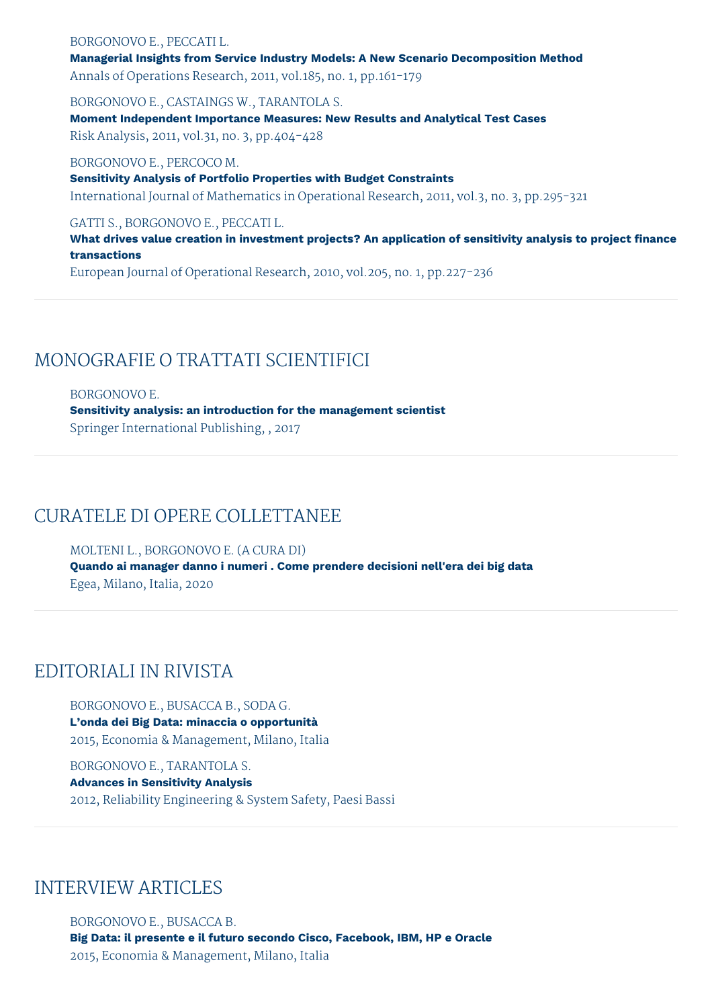### BORGONOVO E., PECCATI L. **Managerial Insights from Service Industry Models: A New Scenario Decomposition Method** Annals of Operations Research, 2011, vol.185, no. 1, pp.161-179

BORGONOVO E., CASTAINGS W., TARANTOLA S. **Moment Independent Importance Measures: New Results and Analytical Test Cases** Risk Analysis, 2011, vol.31, no. 3, pp.404-428

BORGONOVO E., PERCOCO M. **Sensitivity Analysis of Portfolio Properties with Budget Constraints** International Journal of Mathematics in Operational Research, 2011, vol.3, no. 3, pp.295-321

GATTI S., BORGONOVO E., PECCATI L.

**What drives value creation in investment projects? An application of sensitivity analysis to project finance transactions**

European Journal of Operational Research, 2010, vol.205, no. 1, pp.227-236

# MONOGRAFIE O TRATTATI SCIENTIFICI

BORGONOVO E. **Sensitivity analysis: an introduction for the management scientist** Springer International Publishing, , 2017

# CURATELE DI OPERE COLLETTANEE

MOLTENI L., BORGONOVO E. (A CURA DI) **Quando ai manager danno i numeri . Come prendere decisioni nell'era dei big data** Egea, Milano, Italia, 2020

# EDITORIALI IN RIVISTA

BORGONOVO E., BUSACCA B., SODA G. **L'onda dei Big Data: minaccia o opportunità** 2015, Economia & Management, Milano, Italia

BORGONOVO E., TARANTOLA S. **Advances in Sensitivity Analysis** 2012, Reliability Engineering & System Safety, Paesi Bassi

### INTERVIEW ARTICLES

BORGONOVO E., BUSACCA B. **Big Data: il presente e il futuro secondo Cisco, Facebook, IBM, HP e Oracle** 2015, Economia & Management, Milano, Italia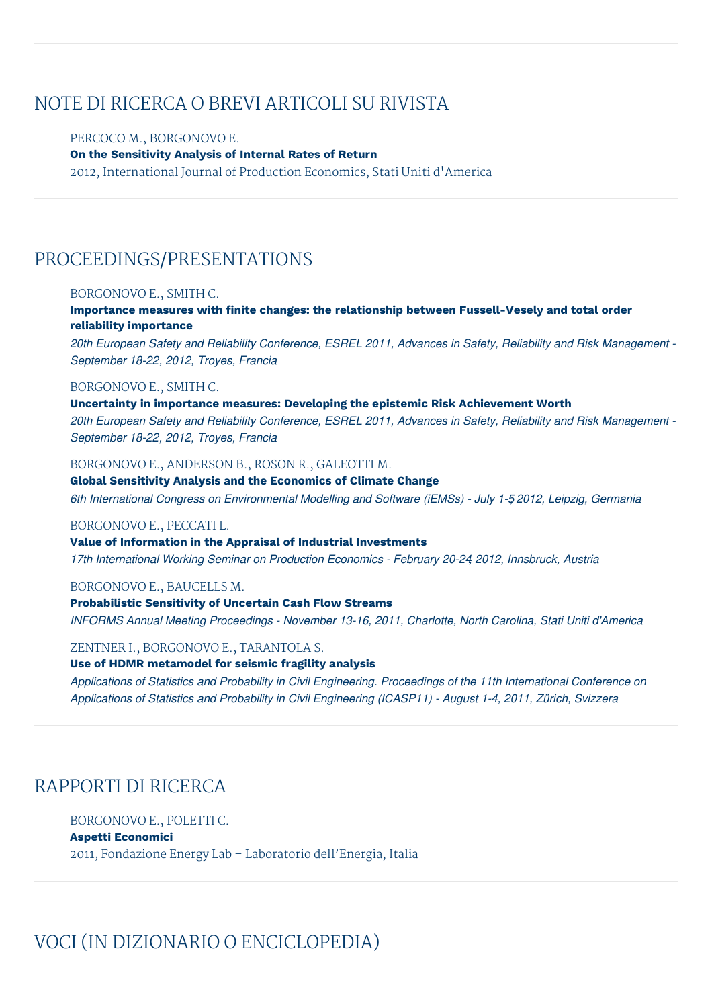# NOTE DI RICERCA O BREVI ARTICOLI SU RIVISTA

### PERCOCO M., BORGONOVO E. **On the Sensitivity Analysis of Internal Rates of Return** 2012, International Journal of Production Economics, Stati Uniti d'America

# PROCEEDINGS/PRESENTATIONS

#### BORGONOVO E., SMITH C.

**Importance measures with finite changes: the relationship between Fussell-Vesely and total order reliability importance**

20th European Safety and Reliability Conference, ESREL 2011, Advances in Safety, Reliability and Risk Management -*September 18-22, 2012, Troyes, Francia*

#### BORGONOVO E., SMITH C.

**Uncertainty in importance measures: Developing the epistemic Risk Achievement Worth** 20th European Safety and Reliability Conference, ESREL 2011, Advances in Safety, Reliability and Risk Management -*September 18-22, 2012, Troyes, Francia*

#### BORGONOVO E., ANDERSON B., ROSON R., GALEOTTI M.

**Global Sensitivity Analysis and the Economics of Climate Change** *6th International Congress on Environmental Modelling and Software (iEMSs) - July 1-5, 2012, Leipzig, Germania*

#### BORGONOVO E., PECCATI L.

**Value of Information in the Appraisal of Industrial Investments** *17th International Working Seminar on Production Economics - February 20-24, 2012, Innsbruck, Austria*

#### BORGONOVO E., BAUCELLS M.

**Probabilistic Sensitivity of Uncertain Cash Flow Streams** *INFORMS Annual Meeting Proceedings - November 13-16, 2011, Charlotte, North Carolina, Stati Uniti d'America*

#### ZENTNER I., BORGONOVO E., TARANTOLA S.

#### **Use of HDMR metamodel for seismic fragility analysis**

*Applications of Statistics and Probability in Civil Engineering. Proceedings of the 11th International Conference on Applications of Statistics and Probability in Civil Engineering (ICASP11) - August 1-4, 2011, Zürich, Svizzera*

# RAPPORTI DI RICERCA

### BORGONOVO E., POLETTI C.

#### **Aspetti Economici**

2011, Fondazione Energy Lab – Laboratorio dell'Energia, Italia

# VOCI (IN DIZIONARIO O ENCICLOPEDIA)